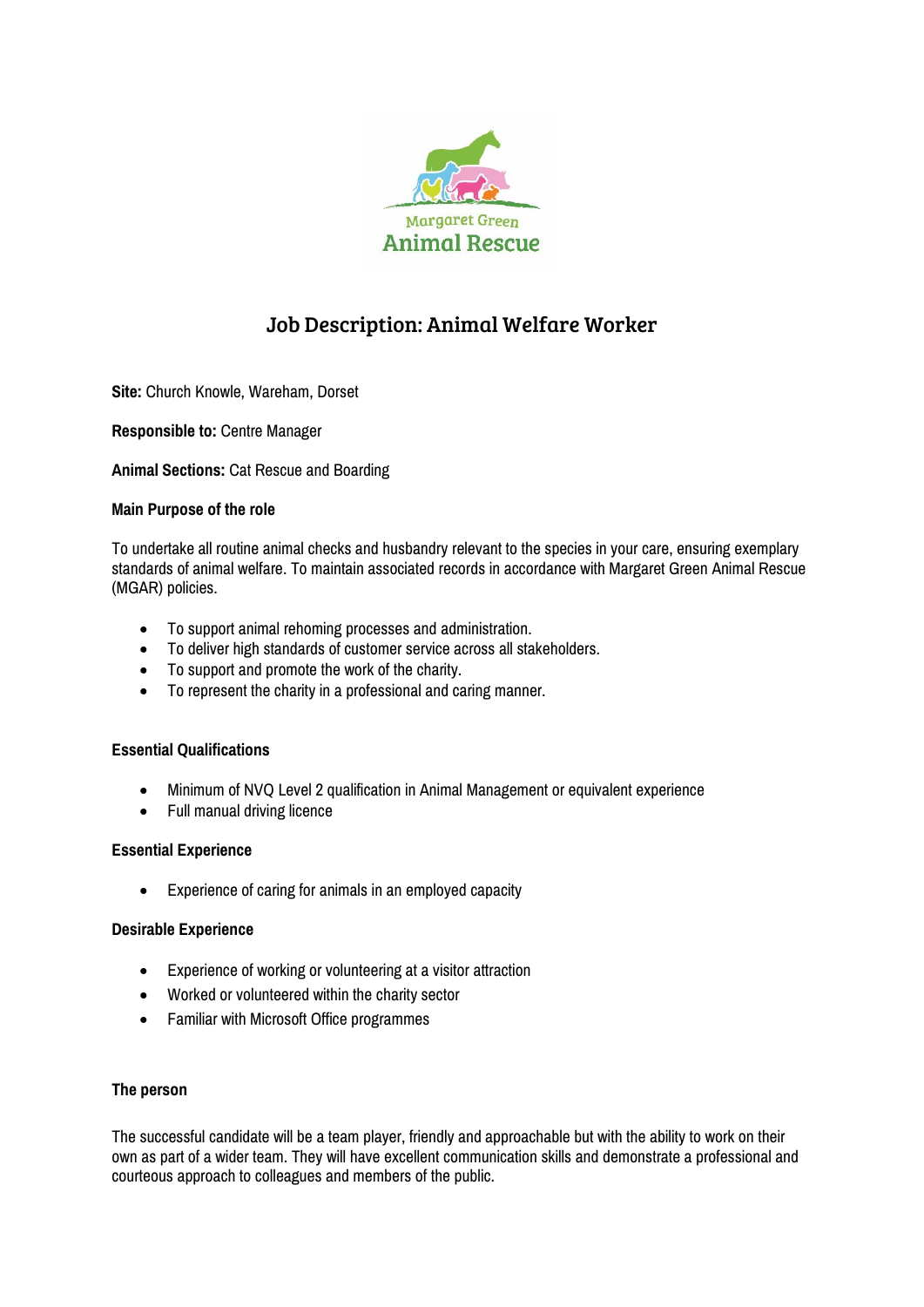

# Job Description: Animal Welfare Worker

**Site:** Church Knowle, Wareham, Dorset

**Responsible to:** Centre Manager

**Animal Sections:** Cat Rescue and Boarding

# **Main Purpose of the role**

To undertake all routine animal checks and husbandry relevant to the species in your care, ensuring exemplary standards of animal welfare. To maintain associated records in accordance with Margaret Green Animal Rescue (MGAR) policies.

- To support animal rehoming processes and administration.
- To deliver high standards of customer service across all stakeholders.
- To support and promote the work of the charity.
- To represent the charity in a professional and caring manner.

### **Essential Qualifications**

- Minimum of NVQ Level 2 qualification in Animal Management or equivalent experience
- Full manual driving licence

## **Essential Experience**

Experience of caring for animals in an employed capacity

### **Desirable Experience**

- Experience of working or volunteering at a visitor attraction
- Worked or volunteered within the charity sector
- Familiar with Microsoft Office programmes

### **The person**

The successful candidate will be a team player, friendly and approachable but with the ability to work on their own as part of a wider team. They will have excellent communication skills and demonstrate a professional and courteous approach to colleagues and members of the public.